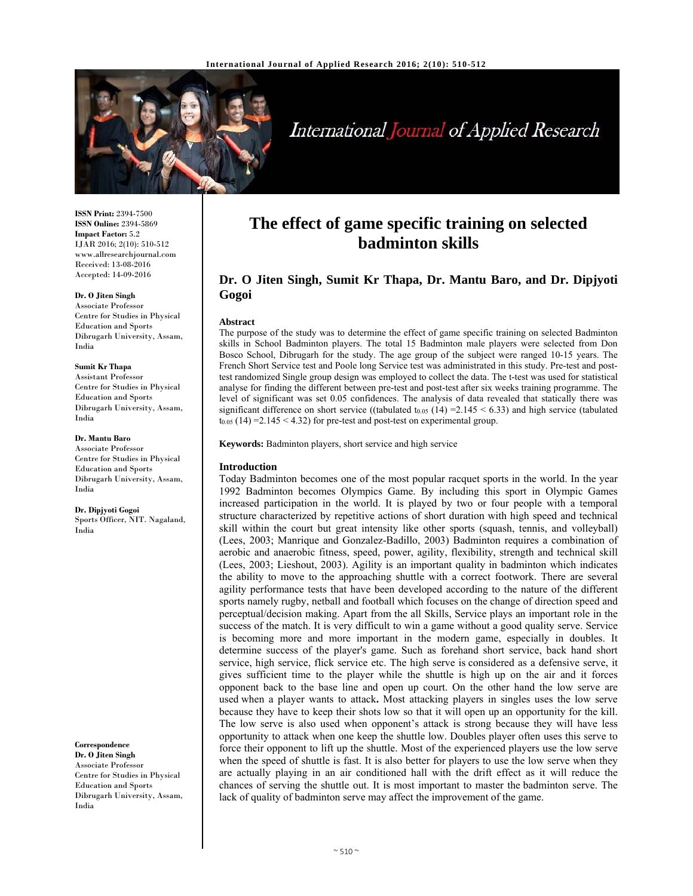

# International Journal of Applied Research

**ISSN Print:** 2394-7500 **ISSN Online:** 2394-5869 **Impact Factor:** 5.2 IJAR 2016; 2(10): 510-512 www.allresearchjournal.com Received: 13-08-2016 Accepted: 14-09-2016

#### **Dr. O Jiten Singh**

Associate Professor Centre for Studies in Physical Education and Sports Dibrugarh University, Assam, India

#### **Sumit Kr Thapa**

Assistant Professor Centre for Studies in Physical Education and Sports Dibrugarh University, Assam, India

#### **Dr. Mantu Baro**

Associate Professor Centre for Studies in Physical Education and Sports Dibrugarh University, Assam, India

**Dr. Dipjyoti Gogoi**  Sports Officer, NIT. Nagaland, India

**Correspondence Dr. O Jiten Singh** 

Associate Professor Centre for Studies in Physical Education and Sports Dibrugarh University, Assam, India

# **The effect of game specific training on selected badminton skills**

# **Dr. O Jiten Singh, Sumit Kr Thapa, Dr. Mantu Baro, and Dr. Dipjyoti Gogoi**

#### **Abstract**

The purpose of the study was to determine the effect of game specific training on selected Badminton skills in School Badminton players. The total 15 Badminton male players were selected from Don Bosco School, Dibrugarh for the study. The age group of the subject were ranged 10-15 years. The French Short Service test and Poole long Service test was administrated in this study. Pre-test and posttest randomized Single group design was employed to collect the data. The t-test was used for statistical analyse for finding the different between pre-test and post-test after six weeks training programme. The level of significant was set 0.05 confidences. The analysis of data revealed that statically there was significant difference on short service ((tabulated t<sub>0.05</sub> (14) = 2.145 < 6.33) and high service (tabulated  $t_{0.05}$  (14) = 2.145 < 4.32) for pre-test and post-test on experimental group.

**Keywords:** Badminton players, short service and high service

#### **Introduction**

Today Badminton becomes one of the most popular racquet sports in the world. In the year 1992 Badminton becomes Olympics Game. By including this sport in Olympic Games increased participation in the world. It is played by two or four people with a temporal structure characterized by repetitive actions of short duration with high speed and technical skill within the court but great intensity like other sports (squash, tennis, and volleyball) (Lees, 2003; Manrique and Gonzalez-Badillo, 2003) Badminton requires a combination of aerobic and anaerobic fitness, speed, power, agility, flexibility, strength and technical skill (Lees, 2003; Lieshout, 2003). Agility is an important quality in badminton which indicates the ability to move to the approaching shuttle with a correct footwork. There are several agility performance tests that have been developed according to the nature of the different sports namely rugby, netball and football which focuses on the change of direction speed and perceptual/decision making. Apart from the all Skills, Service plays an important role in the success of the match. It is very difficult to win a game without a good quality serve. Service is becoming more and more important in the modern game, especially in doubles. It determine success of the player's game. Such as forehand short service, back hand short service, high service, flick service etc. The high serve is considered as a defensive serve, it gives sufficient time to the player while the shuttle is high up on the air and it forces opponent back to the base line and open up court. On the other hand the low serve are used when a player wants to attack**.** Most attacking players in singles uses the low serve because they have to keep their shots low so that it will open up an opportunity for the kill. The low serve is also used when opponent's attack is strong because they will have less opportunity to attack when one keep the shuttle low. Doubles player often uses this serve to force their opponent to lift up the shuttle. Most of the experienced players use the low serve when the speed of shuttle is fast. It is also better for players to use the low serve when they are actually playing in an air conditioned hall with the drift effect as it will reduce the chances of serving the shuttle out. It is most important to master the badminton serve. The lack of quality of badminton serve may affect the improvement of the game.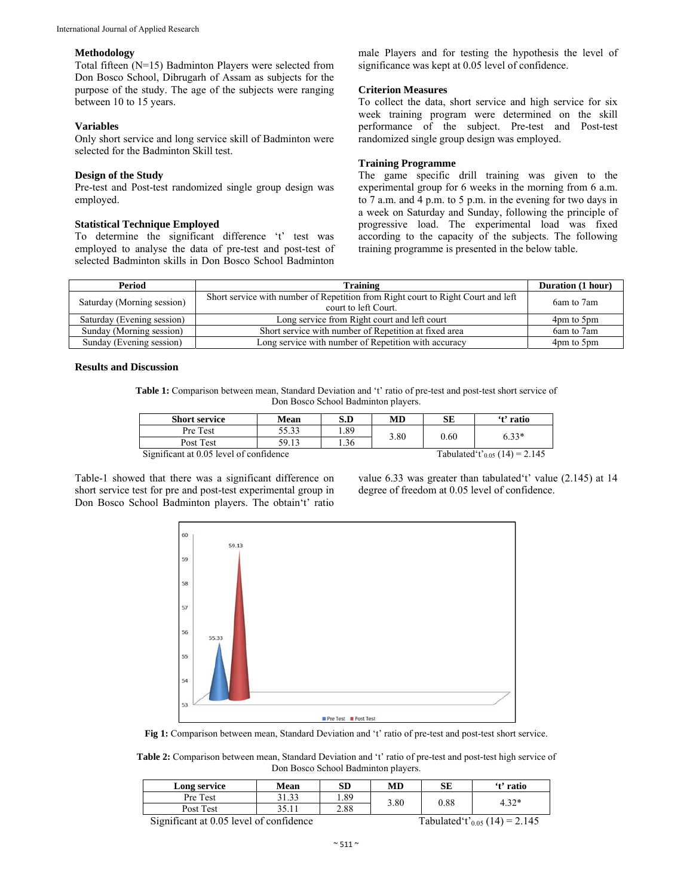#### **Methodology**

Total fifteen (N=15) Badminton Players were selected from Don Bosco School, Dibrugarh of Assam as subjects for the purpose of the study. The age of the subjects were ranging between 10 to 15 years.

# **Variables**

Only short service and long service skill of Badminton were selected for the Badminton Skill test.

#### **Design of the Study**

Pre-test and Post-test randomized single group design was employed.

# **Statistical Technique Employed**

To determine the significant difference 't' test was employed to analyse the data of pre-test and post-test of selected Badminton skills in Don Bosco School Badminton

male Players and for testing the hypothesis the level of significance was kept at 0.05 level of confidence.

# **Criterion Measures**

To collect the data, short service and high service for six week training program were determined on the skill performance of the subject. Pre-test and Post-test randomized single group design was employed.

# **Training Programme**

The game specific drill training was given to the experimental group for 6 weeks in the morning from 6 a.m. to 7 a.m. and 4 p.m. to 5 p.m. in the evening for two days in a week on Saturday and Sunday, following the principle of progressive load. The experimental load was fixed according to the capacity of the subjects. The following training programme is presented in the below table.

| Period                     | <b>Training</b>                                                                                          | Duration (1 hour) |
|----------------------------|----------------------------------------------------------------------------------------------------------|-------------------|
| Saturday (Morning session) | Short service with number of Repetition from Right court to Right Court and left<br>court to left Court. | 6am to 7am        |
| Saturday (Evening session) | Long service from Right court and left court                                                             | 4pm to 5pm        |
| Sunday (Morning session)   | Short service with number of Repetition at fixed area                                                    | 6am to 7am        |
| Sunday (Evening session)   | Long service with number of Repetition with accuracy                                                     | 4pm to 5pm        |

# **Results and Discussion**

**Table 1:** Comparison between mean, Standard Deviation and 't' ratio of pre-test and post-test short service of Don Bosco School Badminton players.

| <b>Short service</b>                    | Mean  | S.D | MD   | SЕ                                        | 't' ratio |
|-----------------------------------------|-------|-----|------|-------------------------------------------|-----------|
| Pre Test                                | 55.33 | .89 | 3.80 | 0.60                                      | $6.33*$   |
| Post Test                               | 59.13 | .36 |      |                                           |           |
| Significant at 0.05 level of confidence |       |     |      | Tabulated't' <sub>0.05</sub> (14) = 2.145 |           |

Table-1 showed that there was a significant difference on short service test for pre and post-test experimental group in Don Bosco School Badminton players. The obtain't' ratio value 6.33 was greater than tabulated't' value (2.145) at 14 degree of freedom at 0.05 level of confidence.



**Fig 1:** Comparison between mean, Standard Deviation and 't' ratio of pre-test and post-test short service.

**Table 2:** Comparison between mean, Standard Deviation and 't' ratio of pre-test and post-test high service of Don Bosco School Badminton players.

| Long service                                                                                                                     | Mean  | SD   | MD   | SЕ                                                                                                                                                            | 't' ratio     |
|----------------------------------------------------------------------------------------------------------------------------------|-------|------|------|---------------------------------------------------------------------------------------------------------------------------------------------------------------|---------------|
| Pre Test                                                                                                                         | 31.33 | . 89 | 3.80 | 0.88                                                                                                                                                          | 4.32*         |
| Post Test                                                                                                                        |       | 2.88 |      |                                                                                                                                                               |               |
| $\mathcal{C}_{i}$ with each of $\mathcal{C}$ $\mathcal{C}_{i}$ and $\mathcal{C}_{i}$ and $\mathcal{C}_{i}$ and $\mathcal{C}_{i}$ |       |      |      | $T_{\rm eff}$ , $T_{\rm eff}$ , $T_{\rm eff}$ , $T_{\rm eff}$ , $T_{\rm eff}$ , $T_{\rm eff}$ , $T_{\rm eff}$ , $T_{\rm eff}$ , $T_{\rm eff}$ , $T_{\rm eff}$ | $(14) - 2145$ |

Significant at 0.05 level of confidence Tabulated't'<sub>0.05</sub> (14) = 2.145